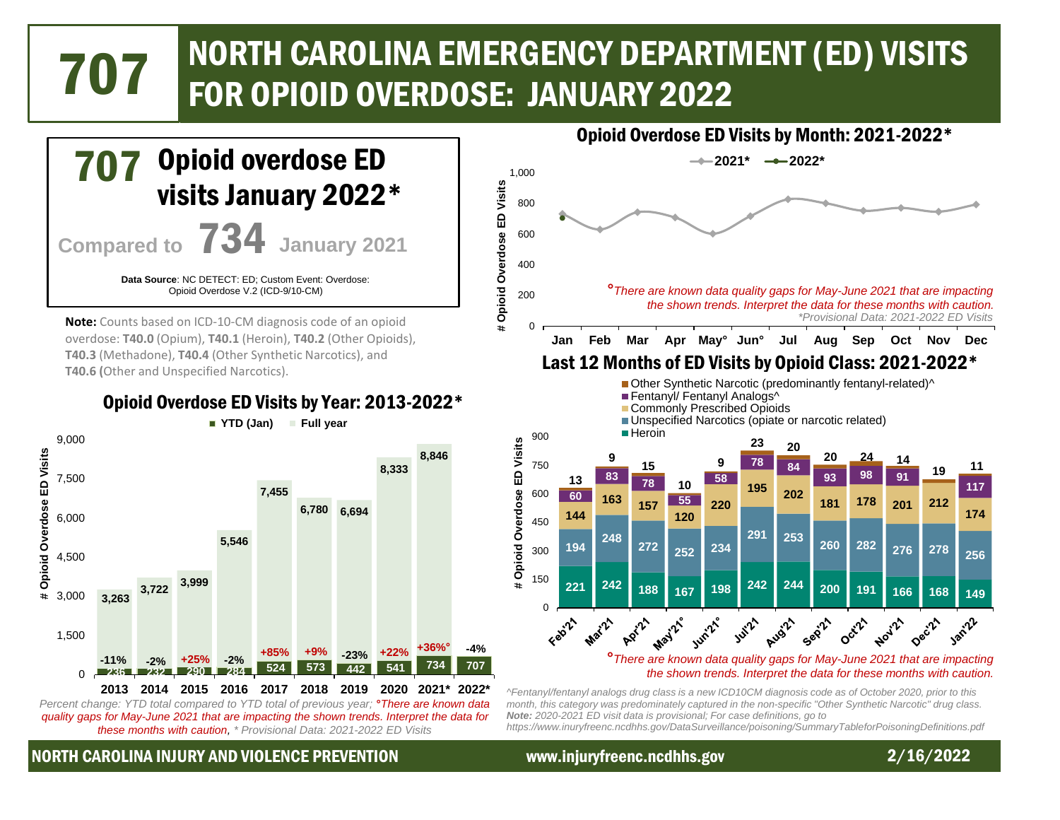# NORTH CAROLINA EMERGENCY DEPARTMENT (ED) VISITS 707 FOR OPIOID OVERDOSE: JANUARY 2022



*quality gaps for May-June 2021 that are impacting the shown trends. Interpret the data for these months with caution, \* Provisional Data: 2021-2022 ED Visits*

# NORTH CAROLINA INJURY AND VIOLENCE PREVENTION www.injuryfreenc.ncdhhs.gov 2/16/2022

*https://www.inuryfreenc.ncdhhs.gov/DataSurveillance/poisoning/SummaryTableforPoisoningDefinitions.pdf*